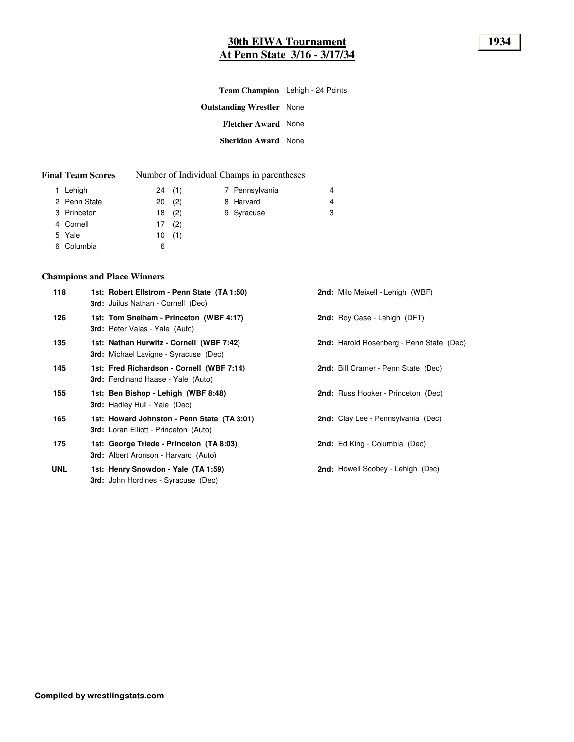| <b>Team Champion</b> Lehigh - 24 Points |  |
|-----------------------------------------|--|
| <b>Outstanding Wrestler</b> None        |  |
| <b>Fletcher Award</b> None              |  |
| <b>Sheridan Award</b> None              |  |
|                                         |  |

| <b>Final Team Scores</b> | Number of Individual Champs in parentheses |
|--------------------------|--------------------------------------------|
|                          |                                            |

|                                                                              |                                           | 4                                         |
|------------------------------------------------------------------------------|-------------------------------------------|-------------------------------------------|
|                                                                              |                                           | 4                                         |
|                                                                              |                                           | 3                                         |
|                                                                              |                                           |                                           |
|                                                                              |                                           |                                           |
| 6                                                                            |                                           |                                           |
| 1 Lehigh<br>2 Penn State<br>3 Princeton<br>4 Cornell<br>5 Yale<br>6 Columbia | 24(1)<br>20(2)<br>18(2)<br>17(2)<br>10(1) | 7 Pennsylvania<br>8 Harvard<br>9 Syracuse |

## **Champions and Place Winners**

| 118        | 1st: Robert Ellstrom - Penn State (TA 1:50)<br><b>3rd:</b> Juilus Nathan - Cornell (Dec)    | 2nd: Milo Meixell - Lehigh (WBF)          |
|------------|---------------------------------------------------------------------------------------------|-------------------------------------------|
| 126        | 1st: Tom Snelham - Princeton (WBF 4:17)<br><b>3rd:</b> Peter Valas - Yale (Auto)            | 2nd: Roy Case - Lehigh (DFT)              |
| 135        | 1st: Nathan Hurwitz - Cornell (WBF 7:42)<br><b>3rd:</b> Michael Lavigne - Syracuse (Dec)    | 2nd: Harold Rosenberg - Penn State (Dec)  |
| 145        | 1st: Fred Richardson - Cornell (WBF 7:14)<br><b>3rd:</b> Ferdinand Haase - Yale (Auto)      | 2nd: Bill Cramer - Penn State (Dec)       |
| 155        | 1st: Ben Bishop - Lehigh (WBF 8:48)<br><b>3rd:</b> Hadley Hull - Yale (Dec)                 | <b>2nd:</b> Russ Hooker - Princeton (Dec) |
| 165        | 1st: Howard Johnston - Penn State (TA 3:01)<br><b>3rd:</b> Loran Elliott - Princeton (Auto) | <b>2nd:</b> Clay Lee - Pennsylvania (Dec) |
| 175        | 1st: George Triede - Princeton (TA 8:03)<br><b>3rd:</b> Albert Aronson - Harvard (Auto)     | <b>2nd:</b> Ed King - Columbia (Dec)      |
| <b>UNL</b> | 1st: Henry Snowdon - Yale (TA 1:59)<br><b>3rd:</b> John Hordines - Syracuse (Dec)           | 2nd: Howell Scobey - Lehigh (Dec)         |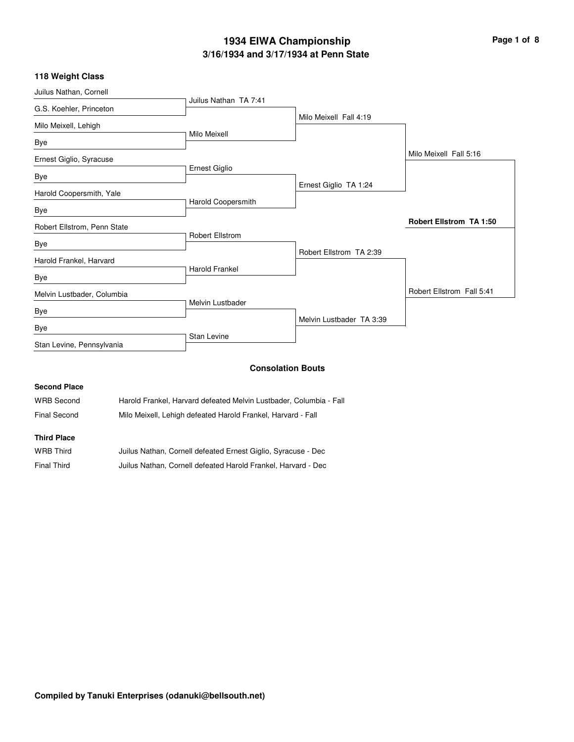# **3/16/1934 and 3/17/1934 at Penn State 1934 EIWA Championship Page 1 of 8**

## **118 Weight Class**

| Juilus Nathan TA 7:41  |                                                                                                  |                                                     |
|------------------------|--------------------------------------------------------------------------------------------------|-----------------------------------------------------|
|                        |                                                                                                  |                                                     |
|                        | Milo Meixell Fall 4:19                                                                           |                                                     |
|                        |                                                                                                  |                                                     |
|                        |                                                                                                  |                                                     |
|                        |                                                                                                  | Milo Meixell Fall 5:16                              |
|                        |                                                                                                  |                                                     |
|                        | Ernest Giglio TA 1:24                                                                            |                                                     |
|                        |                                                                                                  |                                                     |
|                        |                                                                                                  |                                                     |
|                        |                                                                                                  | <b>Robert Ellstrom TA 1:50</b>                      |
| <b>Robert Ellstrom</b> |                                                                                                  |                                                     |
|                        |                                                                                                  |                                                     |
|                        |                                                                                                  |                                                     |
|                        |                                                                                                  |                                                     |
|                        |                                                                                                  | Robert Ellstrom Fall 5:41                           |
|                        |                                                                                                  |                                                     |
|                        |                                                                                                  |                                                     |
| <b>Stan Levine</b>     |                                                                                                  |                                                     |
|                        | Milo Meixell<br>Ernest Giglio<br>Harold Coopersmith<br><b>Harold Frankel</b><br>Melvin Lustbader | Robert Ellstrom TA 2:39<br>Melvin Lustbader TA 3:39 |

#### **Consolation Bouts**

### **Second Place**

| WRB Second   | Harold Frankel, Harvard defeated Melvin Lustbader, Columbia - Fall |
|--------------|--------------------------------------------------------------------|
| Final Second | Milo Meixell, Lehigh defeated Harold Frankel, Harvard - Fall       |

#### **Third Place**

| <b>WRB Third</b> | Juilus Nathan, Cornell defeated Ernest Giglio, Syracuse - Dec |
|------------------|---------------------------------------------------------------|
| Final Third      | Juilus Nathan, Cornell defeated Harold Frankel, Harvard - Dec |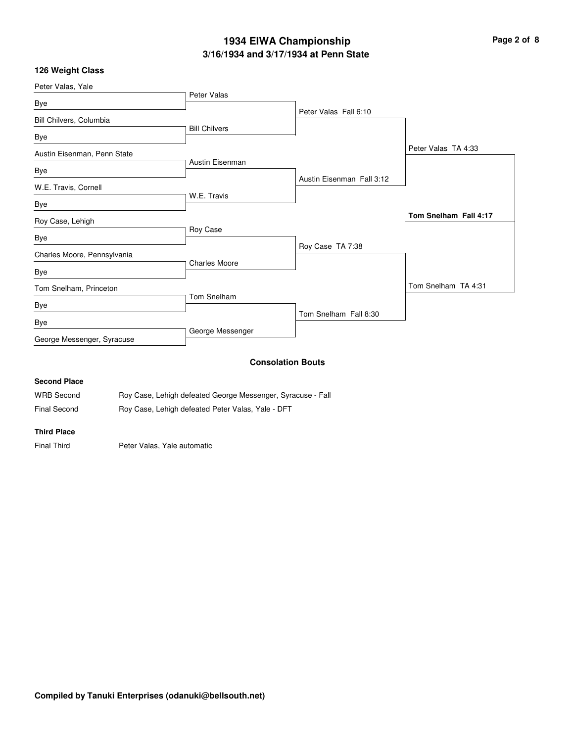# **3/16/1934 and 3/17/1934 at Penn State 1934 EIWA Championship Page 2 of 8**

### **126 Weight Class**

| Peter Valas, Yale           |                      |                           |                       |
|-----------------------------|----------------------|---------------------------|-----------------------|
| Bye                         | Peter Valas          |                           |                       |
|                             |                      | Peter Valas Fall 6:10     |                       |
| Bill Chilvers, Columbia     | <b>Bill Chilvers</b> |                           |                       |
| Bye                         |                      |                           |                       |
| Austin Eisenman, Penn State |                      |                           | Peter Valas TA 4:33   |
| Bye                         | Austin Eisenman      |                           |                       |
| W.E. Travis, Cornell        |                      | Austin Eisenman Fall 3:12 |                       |
| Bye                         | W.E. Travis          |                           |                       |
| Roy Case, Lehigh            |                      |                           | Tom Snelham Fall 4:17 |
|                             | Roy Case             |                           |                       |
| Bye                         |                      | Roy Case TA 7:38          |                       |
| Charles Moore, Pennsylvania | <b>Charles Moore</b> |                           |                       |
| Bye                         |                      |                           |                       |
| Tom Snelham, Princeton      |                      |                           | Tom Snelham TA 4:31   |
| Bye                         | Tom Snelham          |                           |                       |
| Bye                         |                      | Tom Snelham Fall 8:30     |                       |
| George Messenger, Syracuse  | George Messenger     |                           |                       |
|                             |                      | <b>Consolation Bouts</b>  |                       |

#### **Consolation Bouts**

### **Second Place**

| WRB Second   | Roy Case, Lehigh defeated George Messenger, Syracuse - Fall |
|--------------|-------------------------------------------------------------|
| Final Second | Roy Case, Lehigh defeated Peter Valas, Yale - DFT           |

#### **Third Place**

Final Third **Peter Valas, Yale automatic**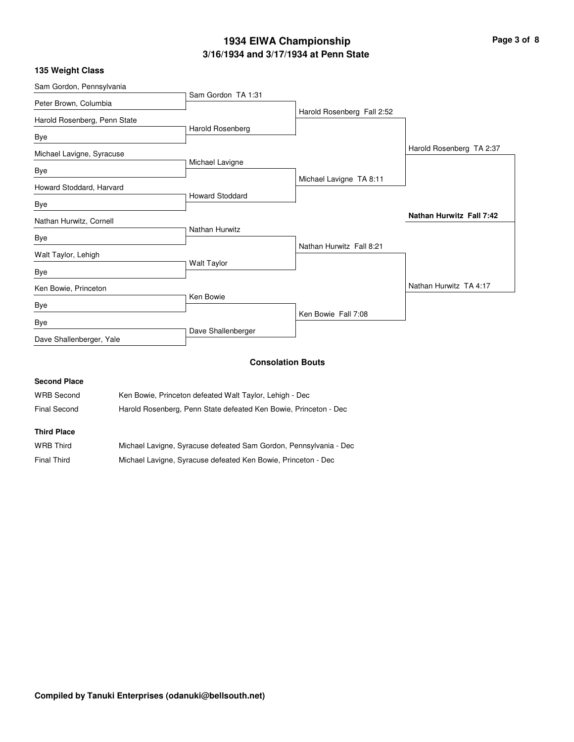# **3/16/1934 and 3/17/1934 at Penn State 1934 EIWA Championship Page 3 of 8**

| 135 Weight Class |  |  |  |
|------------------|--|--|--|
|------------------|--|--|--|

| Sam Gordon, Pennsylvania     |                        |                            |                                 |
|------------------------------|------------------------|----------------------------|---------------------------------|
| Peter Brown, Columbia        | Sam Gordon TA 1:31     |                            |                                 |
|                              |                        | Harold Rosenberg Fall 2:52 |                                 |
| Harold Rosenberg, Penn State | Harold Rosenberg       |                            |                                 |
| Bye                          |                        |                            |                                 |
| Michael Lavigne, Syracuse    |                        |                            | Harold Rosenberg TA 2:37        |
| Bye                          | Michael Lavigne        |                            |                                 |
| Howard Stoddard, Harvard     |                        | Michael Lavigne TA 8:11    |                                 |
| Bye                          | <b>Howard Stoddard</b> |                            |                                 |
| Nathan Hurwitz, Cornell      |                        |                            | <b>Nathan Hurwitz Fall 7:42</b> |
|                              | Nathan Hurwitz         |                            |                                 |
| Bye                          |                        | Nathan Hurwitz Fall 8:21   |                                 |
| Walt Taylor, Lehigh          |                        |                            |                                 |
| Bye                          | <b>Walt Taylor</b>     |                            |                                 |
| Ken Bowie, Princeton         | Ken Bowie              |                            | Nathan Hurwitz TA 4:17          |
| Bye                          |                        |                            |                                 |
| Bye                          |                        | Ken Bowie Fall 7:08        |                                 |
| Dave Shallenberger, Yale     | Dave Shallenberger     |                            |                                 |
|                              |                        | <b>Consolation Route</b>   |                                 |

#### **Consolation Bouts**

| <b>Second Place</b> |                                                                   |
|---------------------|-------------------------------------------------------------------|
| <b>WRB Second</b>   | Ken Bowie, Princeton defeated Walt Taylor, Lehigh - Dec           |
| Final Second        | Harold Rosenberg, Penn State defeated Ken Bowie, Princeton - Dec  |
| <b>Third Place</b>  |                                                                   |
| <b>WRB Third</b>    | Michael Lavigne, Syracuse defeated Sam Gordon, Pennsylvania - Dec |

Final Third Michael Lavigne, Syracuse defeated Ken Bowie, Princeton - Dec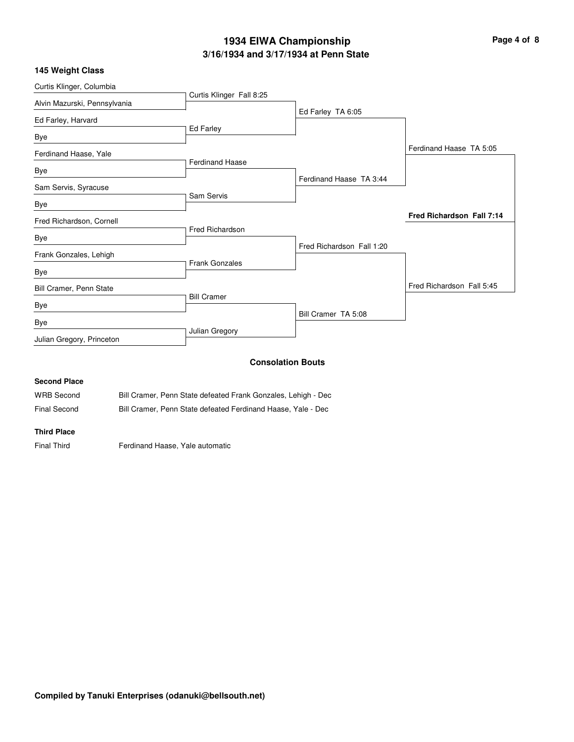# **3/16/1934 and 3/17/1934 at Penn State 1934 EIWA Championship Page 4 of 8**

### **145 Weight Class**

| Curtis Klinger, Columbia     |                          |                           |                           |
|------------------------------|--------------------------|---------------------------|---------------------------|
|                              | Curtis Klinger Fall 8:25 |                           |                           |
| Alvin Mazurski, Pennsylvania |                          | Ed Farley TA 6:05         |                           |
| Ed Farley, Harvard           |                          |                           |                           |
| Bye                          | Ed Farley                |                           |                           |
| Ferdinand Haase, Yale        |                          |                           | Ferdinand Haase TA 5:05   |
|                              | <b>Ferdinand Haase</b>   |                           |                           |
| Bye                          |                          | Ferdinand Haase TA 3:44   |                           |
| Sam Servis, Syracuse         |                          |                           |                           |
| Bye                          | Sam Servis               |                           |                           |
| Fred Richardson, Cornell     |                          |                           | Fred Richardson Fall 7:14 |
| Bye                          | <b>Fred Richardson</b>   |                           |                           |
|                              |                          | Fred Richardson Fall 1:20 |                           |
| Frank Gonzales, Lehigh       | <b>Frank Gonzales</b>    |                           |                           |
| Bye                          |                          |                           |                           |
| Bill Cramer, Penn State      |                          |                           | Fred Richardson Fall 5:45 |
| Bye                          | <b>Bill Cramer</b>       |                           |                           |
|                              |                          | Bill Cramer TA 5:08       |                           |
| Bye                          | Julian Gregory           |                           |                           |
| Julian Gregory, Princeton    |                          |                           |                           |
|                              |                          | <b>Consolation Bouts</b>  |                           |

### **Second Place**

| <b>WRB Second</b> | Bill Cramer, Penn State defeated Frank Gonzales, Lehigh - Dec |
|-------------------|---------------------------------------------------------------|
| $-1$ $\sim$ $-1$  |                                                               |

Final Second Bill Cramer, Penn State defeated Ferdinand Haase, Yale - Dec

#### **Third Place**

Final Third **Ferdinand Haase, Yale automatic**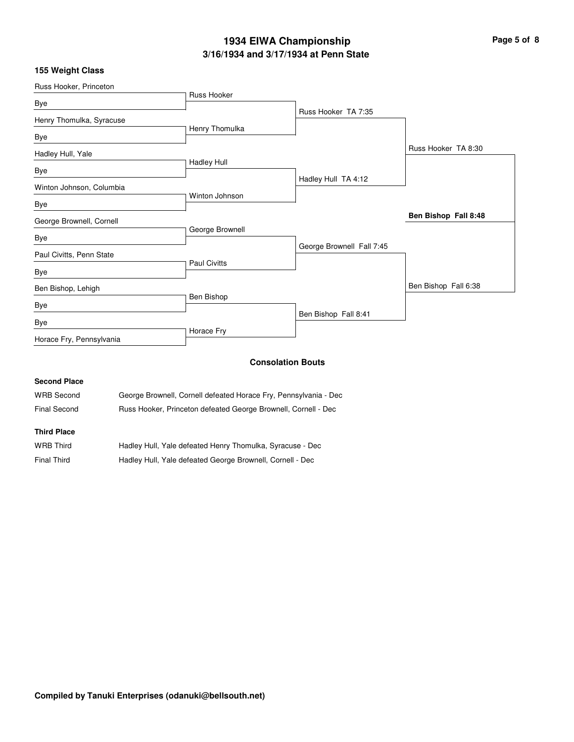# **3/16/1934 and 3/17/1934 at Penn State 1934 EIWA Championship Page 5 of 8**

### **155 Weight Class**

| Russ Hooker, Princeton   |                     |                           |                      |
|--------------------------|---------------------|---------------------------|----------------------|
| Bye                      | Russ Hooker         |                           |                      |
|                          |                     | Russ Hooker TA 7:35       |                      |
| Henry Thomulka, Syracuse |                     |                           |                      |
| Bye                      | Henry Thomulka      |                           |                      |
| Hadley Hull, Yale        |                     |                           | Russ Hooker TA 8:30  |
|                          | <b>Hadley Hull</b>  |                           |                      |
| Bye                      |                     | Hadley Hull TA 4:12       |                      |
| Winton Johnson, Columbia | Winton Johnson      |                           |                      |
| Bye                      |                     |                           |                      |
| George Brownell, Cornell |                     |                           | Ben Bishop Fall 8:48 |
| Bye                      | George Brownell     |                           |                      |
|                          |                     | George Brownell Fall 7:45 |                      |
| Paul Civitts, Penn State | <b>Paul Civitts</b> |                           |                      |
| Bye                      |                     |                           |                      |
| Ben Bishop, Lehigh       |                     |                           | Ben Bishop Fall 6:38 |
| Bye                      | Ben Bishop          |                           |                      |
| Bye                      |                     | Ben Bishop Fall 8:41      |                      |
| Horace Fry, Pennsylvania | Horace Fry          |                           |                      |
|                          |                     |                           |                      |

## **Consolation Bouts**

### **Second Place**

| <b>WRB Second</b> | George Brownell, Cornell defeated Horace Fry, Pennsylvania - Dec |
|-------------------|------------------------------------------------------------------|
| Final Second      | Russ Hooker, Princeton defeated George Brownell, Cornell - Dec   |

## **Third Place**

| <b>WRB Third</b>   | Hadley Hull, Yale defeated Henry Thomulka, Syracuse - Dec |
|--------------------|-----------------------------------------------------------|
| <b>Final Third</b> | Hadley Hull, Yale defeated George Brownell, Cornell - Dec |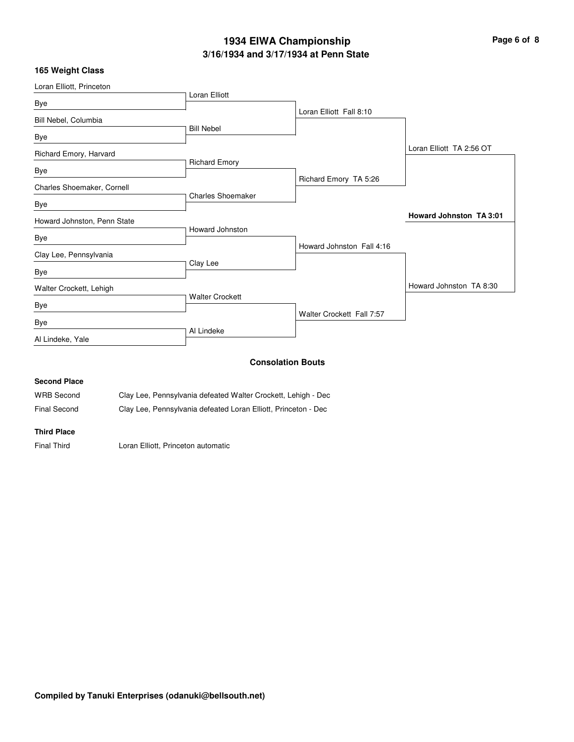# **3/16/1934 and 3/17/1934 at Penn State 1934 EIWA Championship Page 6 of 8**

### **165 Weight Class**

| Loran Elliott, Princeton    |                          |                           |                                |
|-----------------------------|--------------------------|---------------------------|--------------------------------|
| Bye                         | Loran Elliott            |                           |                                |
|                             |                          | Loran Elliott Fall 8:10   |                                |
| Bill Nebel, Columbia        | <b>Bill Nebel</b>        |                           |                                |
| Bye                         |                          |                           |                                |
| Richard Emory, Harvard      |                          |                           | Loran Elliott TA 2:56 OT       |
| Bye                         | <b>Richard Emory</b>     |                           |                                |
| Charles Shoemaker, Cornell  |                          | Richard Emory TA 5:26     |                                |
| Bye                         | <b>Charles Shoemaker</b> |                           |                                |
| Howard Johnston, Penn State |                          |                           | <b>Howard Johnston TA 3:01</b> |
|                             | Howard Johnston          |                           |                                |
| Bye                         |                          | Howard Johnston Fall 4:16 |                                |
| Clay Lee, Pennsylvania      | Clay Lee                 |                           |                                |
| Bye                         |                          |                           |                                |
| Walter Crockett, Lehigh     |                          |                           | Howard Johnston TA 8:30        |
| Bye                         | <b>Walter Crockett</b>   |                           |                                |
| Bye                         |                          | Walter Crockett Fall 7:57 |                                |
| Al Lindeke, Yale            | Al Lindeke               |                           |                                |
|                             |                          |                           |                                |
|                             |                          | <b>Consolation Bouts</b>  |                                |
| <b>Second Place</b>         |                          |                           |                                |

| <b>WRB Second</b>   | Clay Lee, Pennsylvania defeated Walter Crockett, Lehigh - Dec  |
|---------------------|----------------------------------------------------------------|
| <b>Final Second</b> | Clay Lee, Pennsylvania defeated Loran Elliott, Princeton - Dec |

**Third Place**

Final Third Loran Elliott, Princeton automatic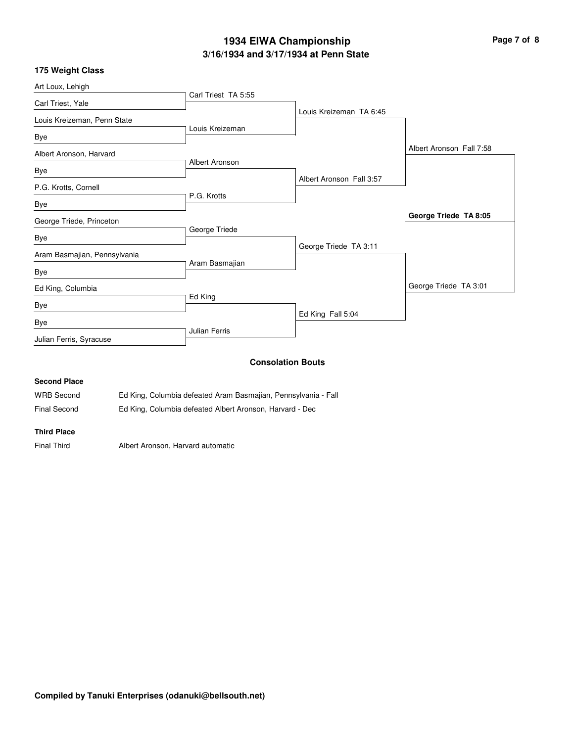# **3/16/1934 and 3/17/1934 at Penn State 1934 EIWA Championship Page 7 of 8**

| 175 Weight Class |  |
|------------------|--|
|------------------|--|

| Art Loux, Lehigh             |                          |                          |                          |
|------------------------------|--------------------------|--------------------------|--------------------------|
| Carl Triest, Yale            | Carl Triest TA 5:55      |                          |                          |
| Louis Kreizeman, Penn State  |                          | Louis Kreizeman TA 6:45  |                          |
| Bye                          | Louis Kreizeman          |                          |                          |
| Albert Aronson, Harvard      |                          |                          | Albert Aronson Fall 7:58 |
| Bye                          | Albert Aronson           |                          |                          |
| P.G. Krotts, Cornell         |                          | Albert Aronson Fall 3:57 |                          |
| Bye                          | P.G. Krotts              |                          |                          |
| George Triede, Princeton     |                          |                          | George Triede TA 8:05    |
| Bye                          | George Triede            |                          |                          |
| Aram Basmajian, Pennsylvania |                          | George Triede TA 3:11    |                          |
| Bye                          | Aram Basmajian           |                          |                          |
| Ed King, Columbia            |                          |                          | George Triede TA 3:01    |
| Bye                          | Ed King                  |                          |                          |
| Bye                          |                          | Ed King Fall 5:04        |                          |
| Julian Ferris, Syracuse      | <b>Julian Ferris</b>     |                          |                          |
|                              | <b>Consolation Bouts</b> |                          |                          |

#### **Second Place**

| <b>WRB Second</b>   | Ed King, Columbia defeated Aram Basmajian, Pennsylvania - Fall |
|---------------------|----------------------------------------------------------------|
| <b>Final Second</b> | Ed King, Columbia defeated Albert Aronson, Harvard - Dec       |

#### **Third Place**

Final Third Albert Aronson, Harvard automatic